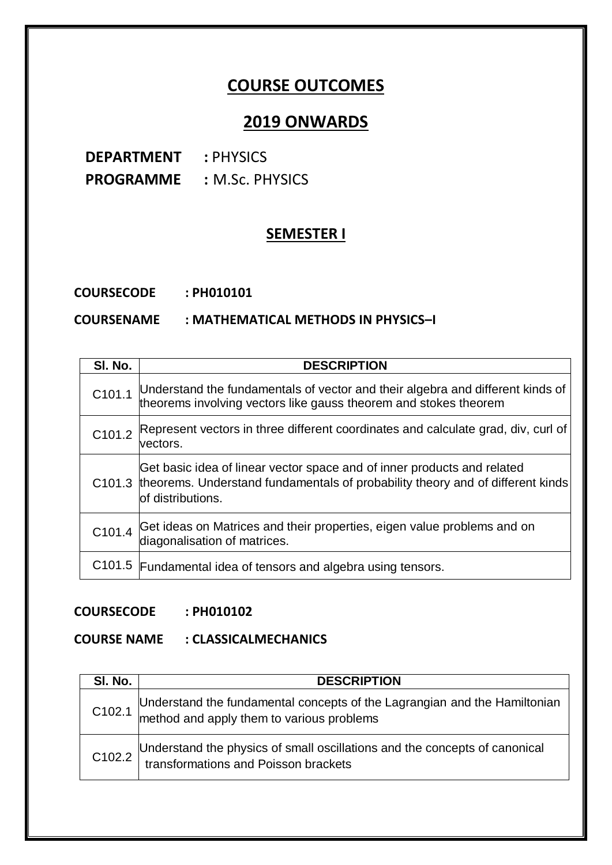# **COURSE OUTCOMES**

# **2019 ONWARDS**

**DEPARTMENT : PHYSICS PROGRAMME :** M.Sc. PHYSICS

# **SEMESTER I**

**COURSECODE : PH010101**

#### **COURSENAME : MATHEMATICAL METHODS IN PHYSICS–I**

| SI. No. | <b>DESCRIPTION</b>                                                                                                                                                                    |
|---------|---------------------------------------------------------------------------------------------------------------------------------------------------------------------------------------|
| C101.1  | Understand the fundamentals of vector and their algebra and different kinds of<br>theorems involving vectors like gauss theorem and stokes theorem                                    |
| C101.2  | Represent vectors in three different coordinates and calculate grad, div, curl of<br>vectors.                                                                                         |
|         | Get basic idea of linear vector space and of inner products and related<br>C101.3 theorems. Understand fundamentals of probability theory and of different kinds<br>of distributions. |
| C101.4  | Get ideas on Matrices and their properties, eigen value problems and on<br>diagonalisation of matrices.                                                                               |
|         | C101.5 Fundamental idea of tensors and algebra using tensors.                                                                                                                         |

#### **COURSECODE : PH010102**

## **COURSE NAME : CLASSICALMECHANICS**

| SI. No. | <b>DESCRIPTION</b>                                                                                                     |
|---------|------------------------------------------------------------------------------------------------------------------------|
| C102.1  | Understand the fundamental concepts of the Lagrangian and the Hamiltonian<br>method and apply them to various problems |
| C102.2  | Understand the physics of small oscillations and the concepts of canonical<br>transformations and Poisson brackets     |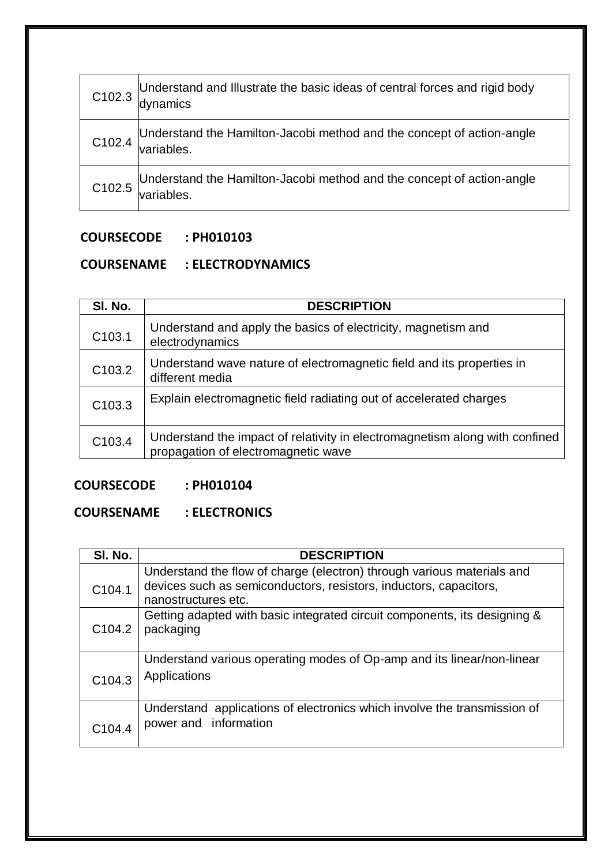| C102.3             | Understand and Illustrate the basic ideas of central forces and rigid body<br>dynamics |
|--------------------|----------------------------------------------------------------------------------------|
| C102.4             | Understand the Hamilton-Jacobi method and the concept of action-angle<br>variables.    |
| C <sub>102.5</sub> | Understand the Hamilton-Jacobi method and the concept of action-angle<br>variables.    |

## **COURSENAME : ELECTRODYNAMICS**

| SI. No.            | <b>DESCRIPTION</b>                                                                                                 |
|--------------------|--------------------------------------------------------------------------------------------------------------------|
| C <sub>103.1</sub> | Understand and apply the basics of electricity, magnetism and<br>electrodynamics                                   |
| C103.2             | Understand wave nature of electromagnetic field and its properties in<br>different media                           |
| C <sub>103.3</sub> | Explain electromagnetic field radiating out of accelerated charges                                                 |
| C103.4             | Understand the impact of relativity in electromagnetism along with confined<br>propagation of electromagnetic wave |

# **COURSECODE : PH010104**

#### **COURSENAME : ELECTRONICS**

| SI. No.            | <b>DESCRIPTION</b>                                                        |
|--------------------|---------------------------------------------------------------------------|
|                    | Understand the flow of charge (electron) through various materials and    |
| C104.1             | devices such as semiconductors, resistors, inductors, capacitors,         |
|                    | nanostructures etc.                                                       |
|                    | Getting adapted with basic integrated circuit components, its designing & |
| C <sub>104.2</sub> | packaging                                                                 |
|                    |                                                                           |
|                    | Understand various operating modes of Op-amp and its linear/non-linear    |
| C <sub>104.3</sub> | Applications                                                              |
|                    |                                                                           |
|                    | Understand applications of electronics which involve the transmission of  |
|                    | power and information                                                     |
| C <sub>104.4</sub> |                                                                           |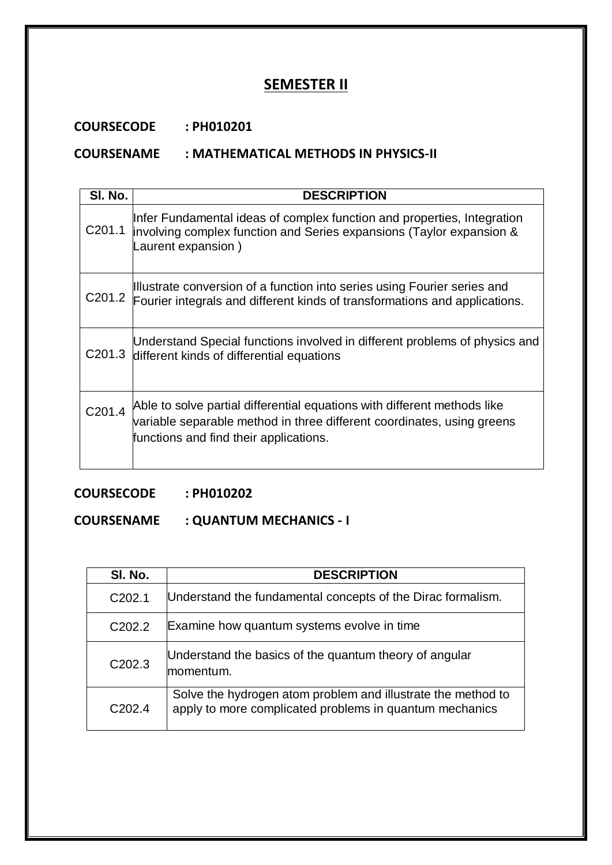# **SEMESTER II**

## **COURSECODE : PH010201**

#### **COURSENAME : MATHEMATICAL METHODS IN PHYSICS-II**

| SI. No.            | <b>DESCRIPTION</b>                                                                                                                                                                           |
|--------------------|----------------------------------------------------------------------------------------------------------------------------------------------------------------------------------------------|
| C <sub>201.1</sub> | Infer Fundamental ideas of complex function and properties, Integration<br>involving complex function and Series expansions (Taylor expansion &<br>Laurent expansion)                        |
| C <sub>201.2</sub> | Illustrate conversion of a function into series using Fourier series and<br>Fourier integrals and different kinds of transformations and applications.                                       |
| C <sub>201.3</sub> | Understand Special functions involved in different problems of physics and<br>different kinds of differential equations                                                                      |
| C <sub>201.4</sub> | Able to solve partial differential equations with different methods like<br>variable separable method in three different coordinates, using greens<br>functions and find their applications. |

# **COURSECODE : PH010202**

## **COURSENAME : QUANTUM MECHANICS - I**

| SI. No.            | <b>DESCRIPTION</b>                                                                                                      |
|--------------------|-------------------------------------------------------------------------------------------------------------------------|
| C <sub>202.1</sub> | Understand the fundamental concepts of the Dirac formalism.                                                             |
| C <sub>202.2</sub> | Examine how quantum systems evolve in time                                                                              |
| C <sub>202.3</sub> | Understand the basics of the quantum theory of angular<br>momentum.                                                     |
| C <sub>202.4</sub> | Solve the hydrogen atom problem and illustrate the method to<br>apply to more complicated problems in quantum mechanics |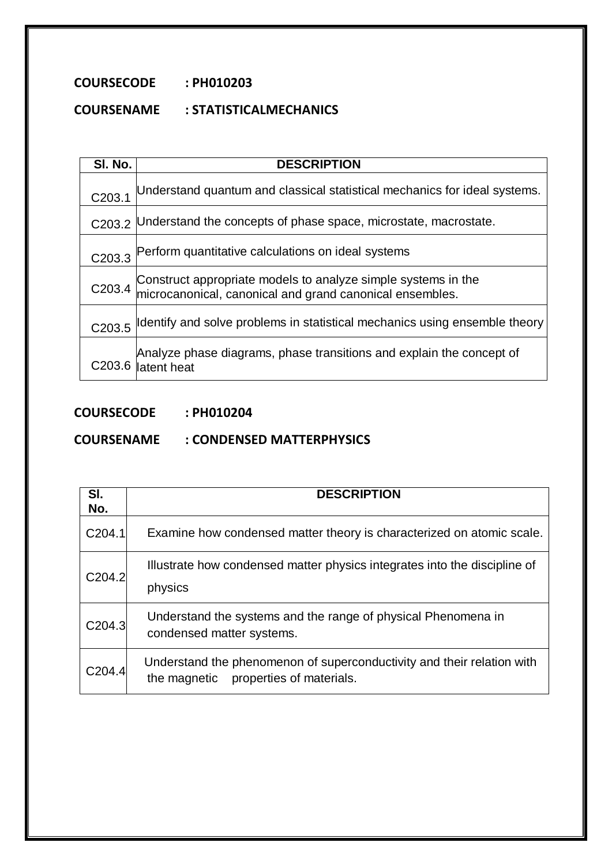# **COURSENAME : STATISTICALMECHANICS**

| SI. No. | <b>DESCRIPTION</b>                                                                                                            |
|---------|-------------------------------------------------------------------------------------------------------------------------------|
| C203.1  | Understand quantum and classical statistical mechanics for ideal systems.                                                     |
| C203.2  | Understand the concepts of phase space, microstate, macrostate.                                                               |
| C203.3  | Perform quantitative calculations on ideal systems                                                                            |
|         | Construct appropriate models to analyze simple systems in the C203.4 microcanonical, canonical and grand canonical ensembles. |
| C203.5  | Identify and solve problems in statistical mechanics using ensemble theory                                                    |
| C203.6  | Analyze phase diagrams, phase transitions and explain the concept of<br>latent heat                                           |

# **COURSECODE : PH010204**

#### **COURSENAME : CONDENSED MATTERPHYSICS**

| SI.<br>No.         | <b>DESCRIPTION</b>                                                                                              |
|--------------------|-----------------------------------------------------------------------------------------------------------------|
| C204.1             | Examine how condensed matter theory is characterized on atomic scale.                                           |
| C <sub>204.2</sub> | Illustrate how condensed matter physics integrates into the discipline of<br>physics                            |
| C204.3             | Understand the systems and the range of physical Phenomena in<br>condensed matter systems.                      |
| C <sub>204.4</sub> | Understand the phenomenon of superconductivity and their relation with<br>the magnetic properties of materials. |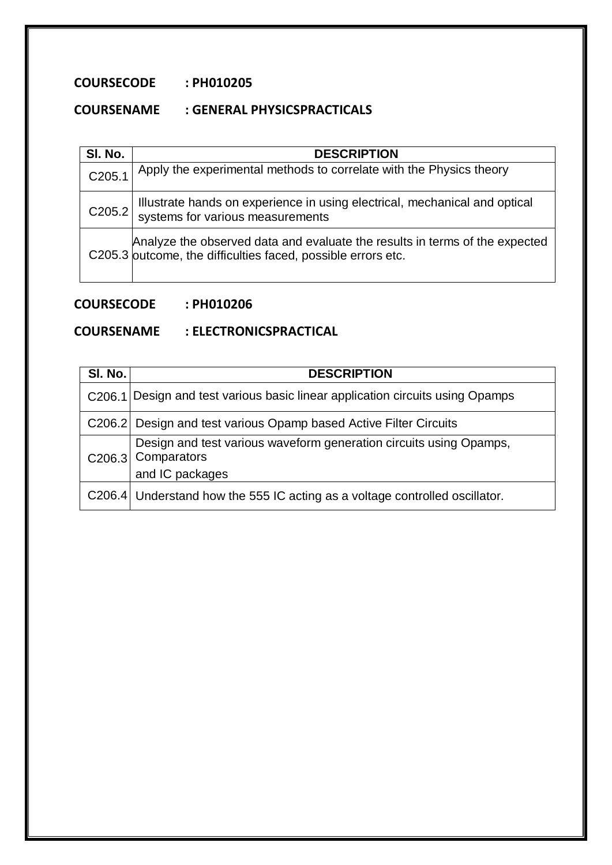# **COURSENAME : GENERAL PHYSICSPRACTICALS**

| SI. No. | <b>DESCRIPTION</b>                                                                                                                          |
|---------|---------------------------------------------------------------------------------------------------------------------------------------------|
| C205.1  | Apply the experimental methods to correlate with the Physics theory                                                                         |
| C205.2  | Illustrate hands on experience in using electrical, mechanical and optical systems for various measurements                                 |
|         | Analyze the observed data and evaluate the results in terms of the expected<br>C205.3 outcome, the difficulties faced, possible errors etc. |

# **COURSECODE : PH010206**

# **COURSENAME : ELECTRONICSPRACTICAL**

| SI. No. | <b>DESCRIPTION</b>                                                                                          |
|---------|-------------------------------------------------------------------------------------------------------------|
|         | C206.1 Design and test various basic linear application circuits using Opamps                               |
|         | C206.2 Design and test various Opamp based Active Filter Circuits                                           |
|         | Design and test various waveform generation circuits using Opamps,<br>C206.3 Comparators<br>and IC packages |
|         | C206.4 Understand how the 555 IC acting as a voltage controlled oscillator.                                 |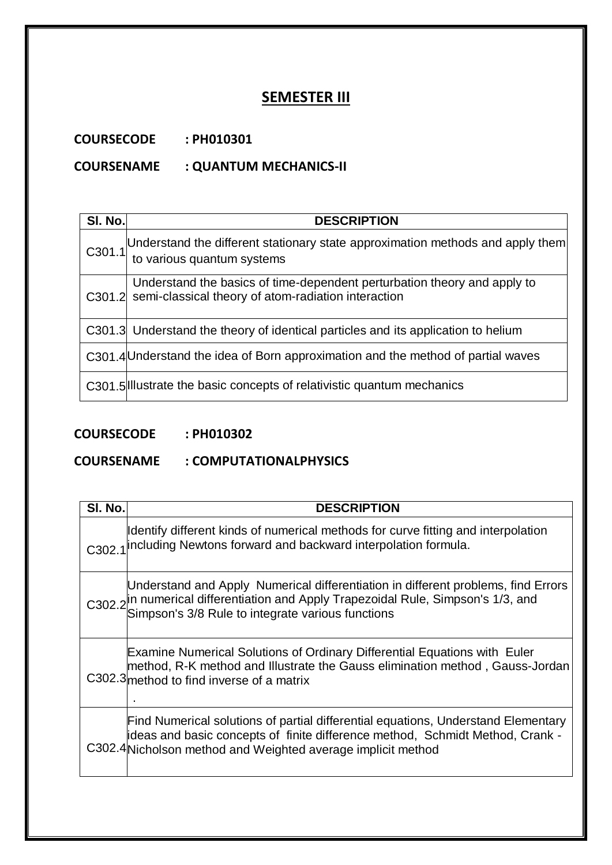# **SEMESTER III**

**COURSECODE : PH010301**

# **COURSENAME : QUANTUM MECHANICS-II**

| SI. No. | <b>DESCRIPTION</b>                                                                                                                     |
|---------|----------------------------------------------------------------------------------------------------------------------------------------|
|         | C301.1 Understand the different stationary state approximation methods and apply them $\vert$ to various quantum systems               |
|         | Understand the basics of time-dependent perturbation theory and apply to<br>C301.2 semi-classical theory of atom-radiation interaction |
|         | C301.3 Understand the theory of identical particles and its application to helium                                                      |
|         | C301.4 Understand the idea of Born approximation and the method of partial waves                                                       |
|         | C301.5 Illustrate the basic concepts of relativistic quantum mechanics                                                                 |

# **COURSECODE : PH010302**

# **COURSENAME : COMPUTATIONALPHYSICS**

| SI. No. | <b>DESCRIPTION</b>                                                                                                                                                                                                                      |
|---------|-----------------------------------------------------------------------------------------------------------------------------------------------------------------------------------------------------------------------------------------|
|         | Identify different kinds of numerical methods for curve fitting and interpolation<br>C302.1 including Newtons forward and backward interpolation formula.                                                                               |
|         | Understand and Apply Numerical differentiation in different problems, find Errors<br>C302.2 <sup>in</sup> numerical differentiation and Apply Trapezoidal Rule, Simpson's 1/3, and<br>Simpson's 3/8 Rule to integrate various functions |
|         | <b>Examine Numerical Solutions of Ordinary Differential Equations with Euler</b><br>method, R-K method and Illustrate the Gauss elimination method, Gauss-Jordan<br>$C302.3$ method to find inverse of a matrix                         |
|         | Find Numerical solutions of partial differential equations, Understand Elementary<br>ideas and basic concepts of finite difference method, Schmidt Method, Crank -<br>C302.4 Nicholson method and Weighted average implicit method      |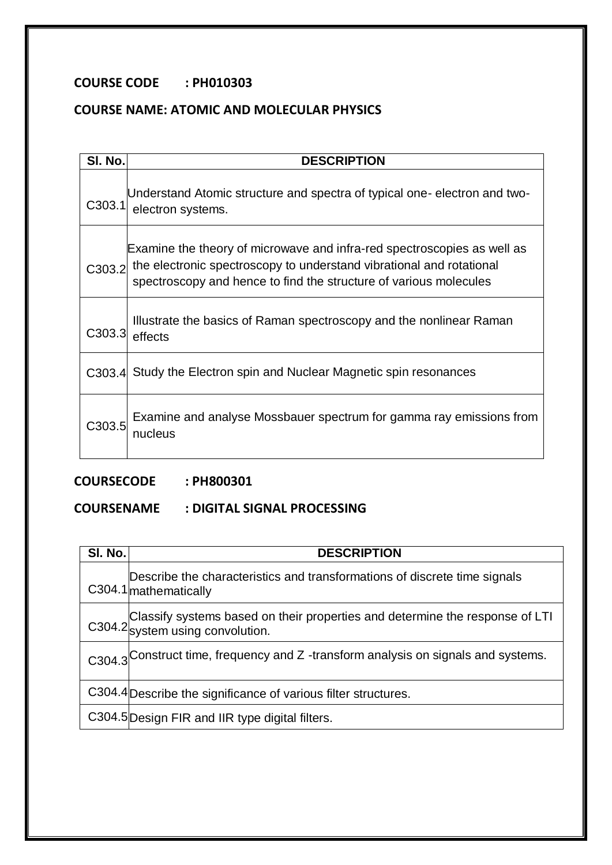# **COURSE NAME: ATOMIC AND MOLECULAR PHYSICS**

| SI. No.            | <b>DESCRIPTION</b>                                                                                                                                                                                                   |
|--------------------|----------------------------------------------------------------------------------------------------------------------------------------------------------------------------------------------------------------------|
| C <sub>303.1</sub> | Understand Atomic structure and spectra of typical one-electron and two-<br>electron systems.                                                                                                                        |
| C303.2             | Examine the theory of microwave and infra-red spectroscopies as well as<br>the electronic spectroscopy to understand vibrational and rotational<br>spectroscopy and hence to find the structure of various molecules |
| C303.3             | Illustrate the basics of Raman spectroscopy and the nonlinear Raman<br>effects                                                                                                                                       |
|                    | C303.4 Study the Electron spin and Nuclear Magnetic spin resonances                                                                                                                                                  |
| C303.5             | Examine and analyse Mossbauer spectrum for gamma ray emissions from<br>nucleus                                                                                                                                       |

# **COURSECODE : PH800301**

## **COURSENAME : DIGITAL SIGNAL PROCESSING**

| <b>SI. No.</b> | <b>DESCRIPTION</b>                                                                                               |
|----------------|------------------------------------------------------------------------------------------------------------------|
|                | Describe the characteristics and transformations of discrete time signals<br>C304.1 mathematically               |
|                | Classify systems based on their properties and determine the response of LTI<br>C304.2 system using convolution. |
|                | C304.3 <sup>Construct time, frequency and Z-transform analysis on signals and systems.</sup>                     |
|                | C304.4 Describe the significance of various filter structures.                                                   |
|                | C304.5 Design FIR and IIR type digital filters.                                                                  |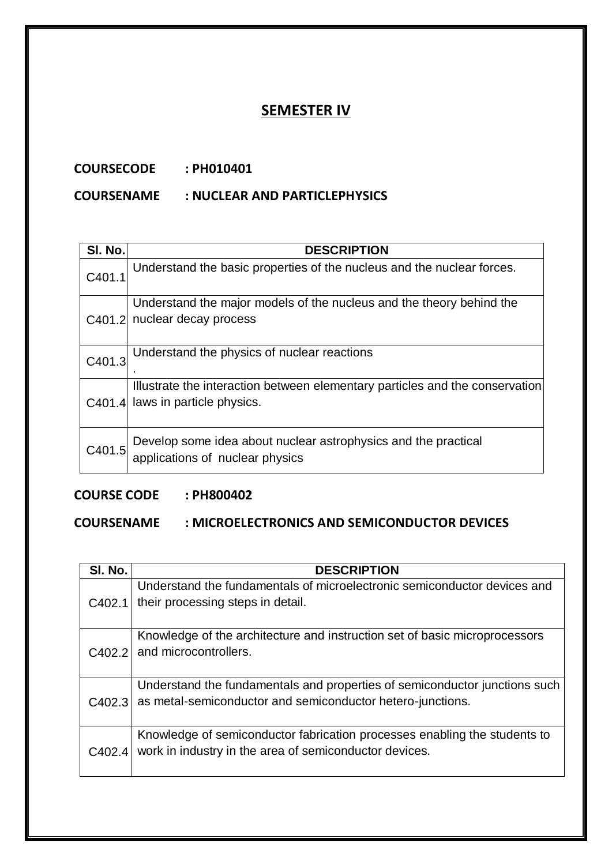# **SEMESTER IV**

## **COURSECODE : PH010401**

#### **COURSENAME : NUCLEAR AND PARTICLEPHYSICS**

| SI. No. | <b>DESCRIPTION</b>                                                                                        |
|---------|-----------------------------------------------------------------------------------------------------------|
| C401.1  | Understand the basic properties of the nucleus and the nuclear forces.                                    |
| C401.2  | Understand the major models of the nucleus and the theory behind the<br>nuclear decay process             |
| C401.3  | Understand the physics of nuclear reactions                                                               |
| C401.4  | Illustrate the interaction between elementary particles and the conservation<br>laws in particle physics. |
| C401.5  | Develop some idea about nuclear astrophysics and the practical<br>applications of nuclear physics         |

# **COURSE CODE : PH800402**

## **COURSENAME : MICROELECTRONICS AND SEMICONDUCTOR DEVICES**

| SI. No. | <b>DESCRIPTION</b>                                                                                                                       |
|---------|------------------------------------------------------------------------------------------------------------------------------------------|
| C402.1  | Understand the fundamentals of microelectronic semiconductor devices and<br>their processing steps in detail.                            |
| C402.2  | Knowledge of the architecture and instruction set of basic microprocessors<br>and microcontrollers.                                      |
| C402.3  | Understand the fundamentals and properties of semiconductor junctions such<br>as metal-semiconductor and semiconductor hetero-junctions. |
| C402.4  | Knowledge of semiconductor fabrication processes enabling the students to<br>work in industry in the area of semiconductor devices.      |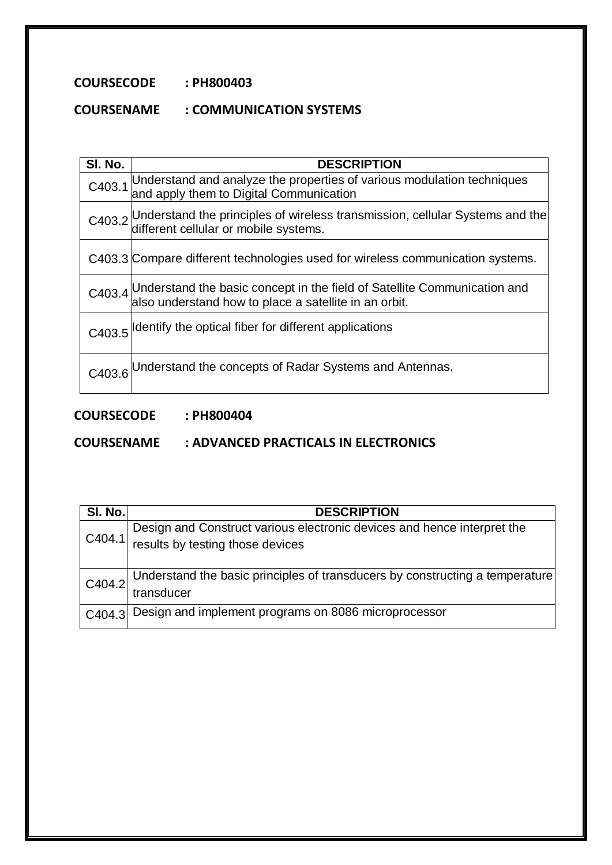# **COURSENAME : COMMUNICATION SYSTEMS**

| SI. No. | <b>DESCRIPTION</b>                                                                                                                    |
|---------|---------------------------------------------------------------------------------------------------------------------------------------|
| C403.1  | Understand and analyze the properties of various modulation techniques<br>and apply them to Digital Communication                     |
|         | C403.2 Understand the principles of wireless transmission, cellular Systems and the different cellular or mobile systems.             |
|         | C403.3 Compare different technologies used for wireless communication systems.                                                        |
|         | C403.4 Understand the basic concept in the field of Satellite Communication and also understand how to place a satellite in an orbit. |
| C403.5  | Identify the optical fiber for different applications                                                                                 |
|         | C403.6 Understand the concepts of Radar Systems and Antennas.                                                                         |

# **COURSECODE : PH800404**

**COURSENAME : ADVANCED PRACTICALS IN ELECTRONICS**

| SI. No. | <b>DESCRIPTION</b>                                                           |
|---------|------------------------------------------------------------------------------|
| C404.1  | Design and Construct various electronic devices and hence interpret the      |
|         | results by testing those devices                                             |
|         |                                                                              |
| C404.2  | Understand the basic principles of transducers by constructing a temperature |
|         | transducer                                                                   |
|         | C404.3 Design and implement programs on 8086 microprocessor                  |
|         |                                                                              |